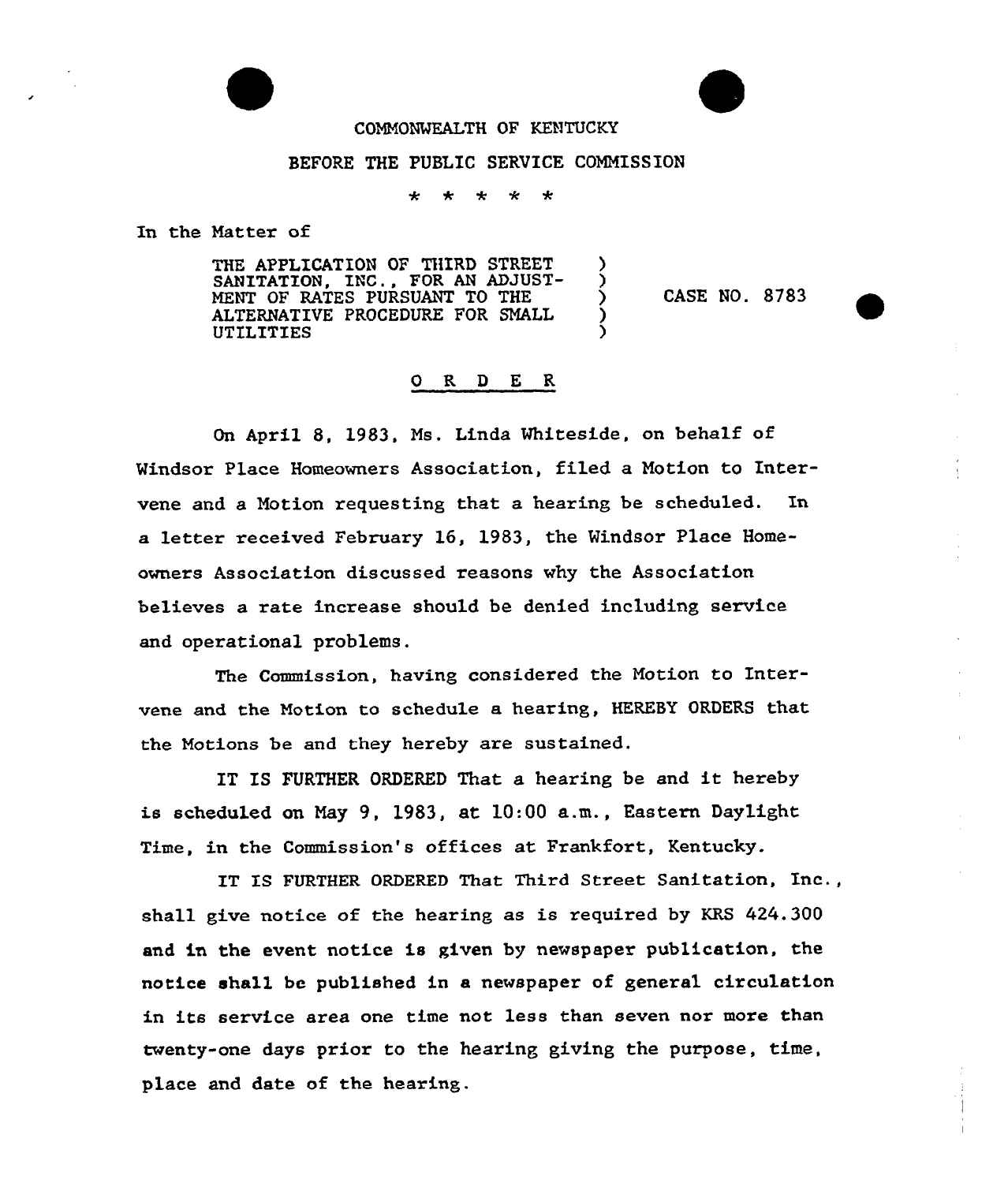#### COMMONWEALTH OF KENTUCKY

### BEFORE THE PUBLIC SERVICE COMMISSION

÷ ÷ ÷

In the Natter of

THE APPLICATION OF THIRD STREET SANITATION, INC., FOR AN ADJUST-MENT OF RATES PURSUANT TO THE ALTERNATIVE PROCEDURE FOR SMALL **UTILITIES** 

CASE NO. <sup>8783</sup> ~

## 0 R <sup>D</sup> E R

On April 8. 1983. Ms. Linda Whiteside, on behalf of Windsor Place Homeowners Association, filed a Motion to Intervene and a Motion requesting that a hearing be scheduled. In a letter received February 16, 1983, the Mindsor P1ace Homeowners Association discussed reasons why the Association believes a rate increase should be denied including service and operational problems.

The Commission, having considered the Notion to Intervene and the Motion to schedule a hearing, HEREBY ORDERS that the Notions be and they hereby are sustained.

IT IS FURTHER ORDERED That a hearing be and it hereby is scheduled on May 9, 1983, at 10:00 a.m., Eastern Daylight Time, in the Commission's offices at Frankfort, Kentucky.

IT IS FURTHER ORDERED That Third Street Sanitation, Inc., shall give notice of the hearing as is required by KRS 424.300 and in the event notice is given by newspaper publication, the notice shall be published in a newspaper of general circulation in its service area one time not less than seven nor more than twenty-one days prior to the hearing giving the purpose, time, place and date of the hearing.